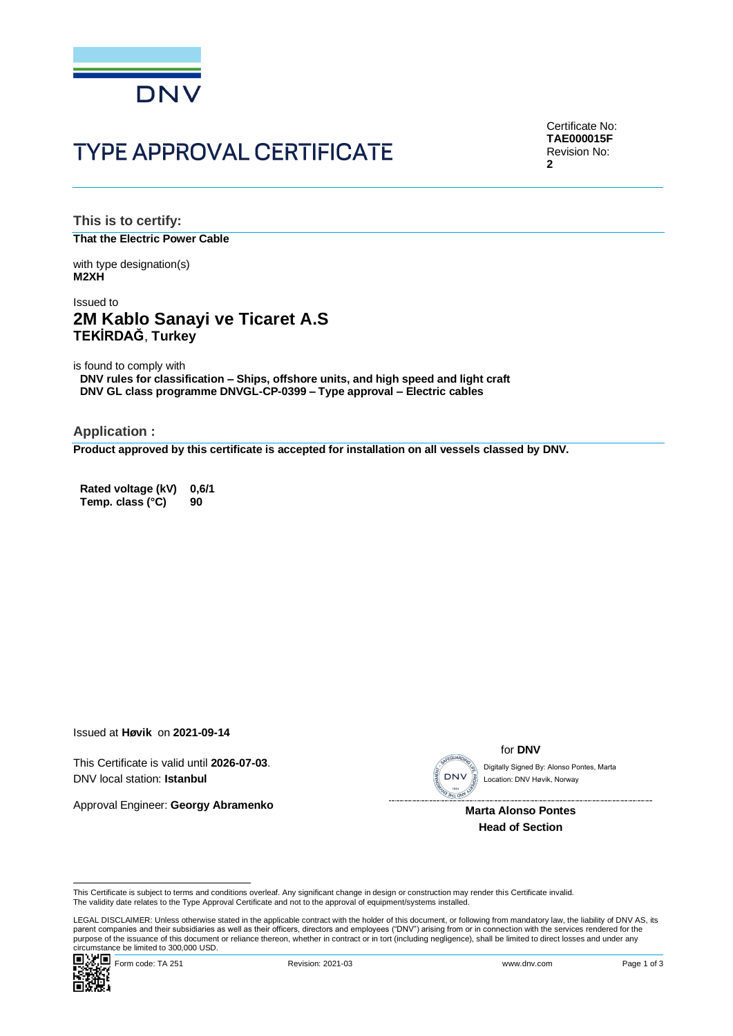

# **TYPE APPROVAL CERTIFICATE**

Certificate No: **TAE000015F** Revision No: **2**

**This is to certify: That the Electric Power Cable**

with type designation(s) **M2XH**

### Issued to **2M Kablo Sanayi ve Ticaret A.S TEKİRDAĞ**, **Turkey**

is found to comply with

**DNV rules for classification – Ships, offshore units, and high speed and light craft DNV GL class programme DNVGL-CP-0399 – Type approval – Electric cables**

**Application :**

**Product approved by this certificate is accepted for installation on all vessels classed by DNV.**

**Rated voltage (kV) 0,6/1 Temp. class (°C) 90**

Issued at **Høvik** on **2021-09-14**

This Certificate is valid until **2026-07-03**. DNV local station: **Istanbul**

Approval Engineer: **Georgy Abramenko**



for **DNV**

Location: DNV Høvik, Norway

 **Marta Alonso Pontes Head of Section**

LEGAL DISCLAIMER: Unless otherwise stated in the applicable contract with the holder of this document, or following from mandatory law, the liability of DNV AS, its parent companies and their subsidiaries as well as their officers, directors and employees ("DNV") arising from or in connection with the services rendered for the This Certificate is subject to terms and conditions overleaf. Any significant change in design or construction may render this Certificate invalid.<br>This Certificate is subject to terms and conditions overleaf. Any signific



This Certificate is subject to terms and conditions overleaf. Any significant change in design or construction may render this Certificate invalid.<br>The validity date relates to the Type Approval Certificate and not to the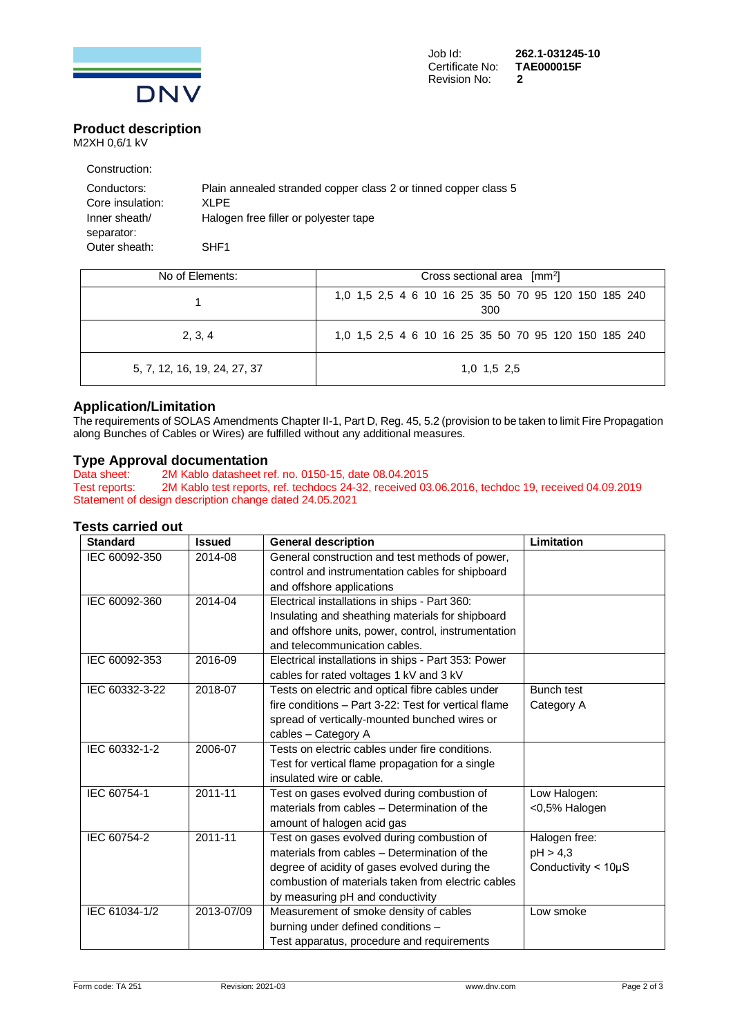

Certificate No: Revision No: **2**

Job Id: **262.1-031245-10**

#### **Product description** M2XH 0,6/1 kV

| Construction:    |                                                                 |
|------------------|-----------------------------------------------------------------|
| Conductors:      | Plain annealed stranded copper class 2 or tinned copper class 5 |
| Core insulation: | XI PF                                                           |
| Inner sheath/    | Halogen free filler or polyester tape                           |
| separator:       |                                                                 |
| Outer sheath:    | SHE <sub>1</sub>                                                |

| No of Elements:              | Cross sectional area $\left[mm^2\right]$                    |  |  |
|------------------------------|-------------------------------------------------------------|--|--|
|                              | 1,0 1,5 2,5 4 6 10 16 25 35 50 70 95 120 150 185 240<br>300 |  |  |
| 2, 3, 4                      | 1,0 1,5 2,5 4 6 10 16 25 35 50 70 95 120 150 185 240        |  |  |
| 5, 7, 12, 16, 19, 24, 27, 37 | 1,0 1,5 2,5                                                 |  |  |

### **Application/Limitation**

The requirements of SOLAS Amendments Chapter II-1, Part D, Reg. 45, 5.2 (provision to be taken to limit Fire Propagation along Bunches of Cables or Wires) are fulfilled without any additional measures.

## **Type Approval documentation**<br>Data sheet: 2M Kablo datasheet re

2M Kablo datasheet ref. no. 0150-15, date 08.04.2015 Test reports: 2M Kablo test reports, ref. techdocs 24-32, received 03.06.2016, techdoc 19, received 04.09.2019 Statement of design description change dated 24.05.2021

### **Tests carried out**

| <b>Standard</b> | <b>Issued</b> | <b>General description</b>                           | Limitation                  |
|-----------------|---------------|------------------------------------------------------|-----------------------------|
| IEC 60092-350   | 2014-08       | General construction and test methods of power,      |                             |
|                 |               | control and instrumentation cables for shipboard     |                             |
|                 |               | and offshore applications                            |                             |
| IEC 60092-360   | 2014-04       | Electrical installations in ships - Part 360:        |                             |
|                 |               | Insulating and sheathing materials for shipboard     |                             |
|                 |               | and offshore units, power, control, instrumentation  |                             |
|                 |               | and telecommunication cables.                        |                             |
| IEC 60092-353   | 2016-09       | Electrical installations in ships - Part 353: Power  |                             |
|                 |               | cables for rated voltages 1 kV and 3 kV              |                             |
| IEC 60332-3-22  | 2018-07       | Tests on electric and optical fibre cables under     | <b>Bunch test</b>           |
|                 |               | fire conditions - Part 3-22: Test for vertical flame | Category A                  |
|                 |               | spread of vertically-mounted bunched wires or        |                             |
|                 |               | cables - Category A                                  |                             |
| IEC 60332-1-2   | 2006-07       | Tests on electric cables under fire conditions.      |                             |
|                 |               | Test for vertical flame propagation for a single     |                             |
|                 |               | insulated wire or cable.                             |                             |
| IEC 60754-1     | 2011-11       | Test on gases evolved during combustion of           | Low Halogen:                |
|                 |               | materials from cables - Determination of the         | <0,5% Halogen               |
|                 |               | amount of halogen acid gas                           |                             |
| IEC 60754-2     | 2011-11       | Test on gases evolved during combustion of           | Halogen free:               |
|                 |               | materials from cables - Determination of the         | pH > 4,3                    |
|                 |               | degree of acidity of gases evolved during the        | Conductivity $<$ 10 $\mu$ S |
|                 |               | combustion of materials taken from electric cables   |                             |
|                 |               | by measuring pH and conductivity                     |                             |
| IEC 61034-1/2   | 2013-07/09    | Measurement of smoke density of cables               | Low smoke                   |
|                 |               | burning under defined conditions -                   |                             |
|                 |               | Test apparatus, procedure and requirements           |                             |